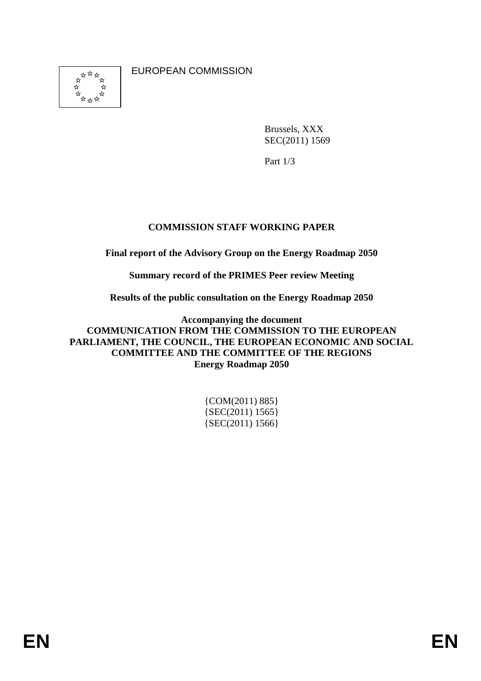$\frac{1}{2}$  $\mathbf{x}$ ÷.

EUROPEAN COMMISSION

Brussels, XXX SEC(2011) 1569

Part 1/3

# **COMMISSION STAFF WORKING PAPER**

**Final report of the Advisory Group on the Energy Roadmap 2050** 

**Summary record of the PRIMES Peer review Meeting** 

**Results of the public consultation on the Energy Roadmap 2050** 

**Accompanying the document COMMUNICATION FROM THE COMMISSION TO THE EUROPEAN PARLIAMENT, THE COUNCIL, THE EUROPEAN ECONOMIC AND SOCIAL COMMITTEE AND THE COMMITTEE OF THE REGIONS Energy Roadmap 2050** 

| $\{COM(2011) 885\}$ |
|---------------------|
| ${SEC(2011) 1565}$  |
| ${SEC(2011) 1566}$  |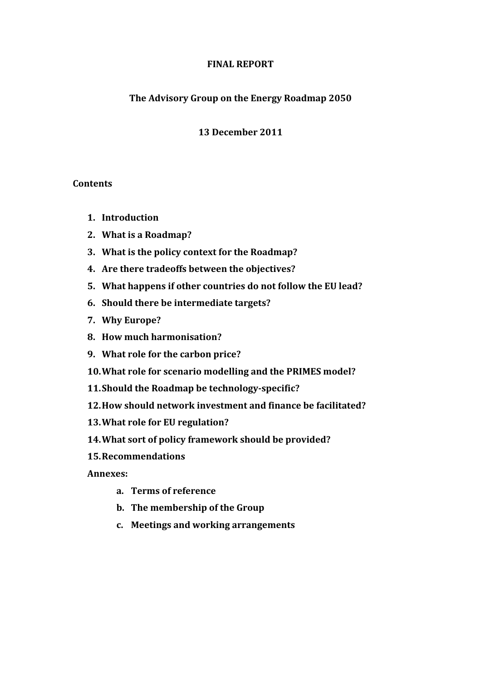## **The Advisory Group on the Energy Roadmap 2050**

## **13 December 2011**

## **Contents**

- **1. Introduction**
- **2. What is a Roadmap?**
- **3. What is the policy context for the Roadmap?**
- **4. Are there tradeoffs between the objectives?**
- **5. What happens if other countries do not follow the EU lead?**
- **6. Should there be intermediate targets?**
- **7. Why Europe?**
- **8. How much harmonisation?**
- **9. What role for the carbon price?**
- **10.What role for scenario modelling and the PRIMES model?**
- **11.Should the Roadmap be technology-specific?**
- **12.How should network investment and finance be facilitated?**
- **13.What role for EU regulation?**
- **14.What sort of policy framework should be provided?**
- **15.Recommendations**

**Annexes:** 

- **a. Terms of reference**
- **b. The membership of the Group**
- **c. Meetings and working arrangements**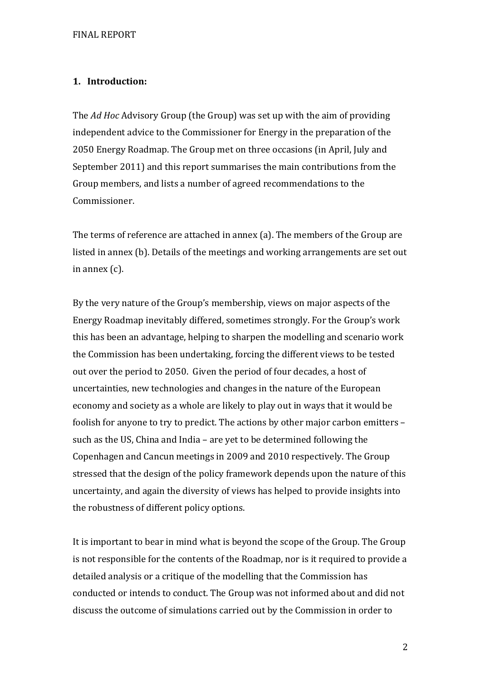# **1. Introduction:**

The *Ad Hoc* Advisory Group (the Group) was set up with the aim of providing independent advice to the Commissioner for Energy in the preparation of the 2050 Energy Roadmap. The Group met on three occasions (in April, July and September 2011) and this report summarises the main contributions from the Group members, and lists a number of agreed recommendations to the Commissioner.

The terms of reference are attached in annex (a). The members of the Group are listed in annex (b). Details of the meetings and working arrangements are set out in annex (c).

By the very nature of the Group's membership, views on major aspects of the Energy Roadmap inevitably differed, sometimes strongly. For the Group's work this has been an advantage, helping to sharpen the modelling and scenario work the Commission has been undertaking, forcing the different views to be tested out over the period to 2050. Given the period of four decades, a host of uncertainties, new technologies and changes in the nature of the European economy and society as a whole are likely to play out in ways that it would be foolish for anyone to try to predict. The actions by other major carbon emitters – such as the US, China and India – are yet to be determined following the Copenhagen and Cancun meetings in 2009 and 2010 respectively. The Group stressed that the design of the policy framework depends upon the nature of this uncertainty, and again the diversity of views has helped to provide insights into the robustness of different policy options.

It is important to bear in mind what is beyond the scope of the Group. The Group is not responsible for the contents of the Roadmap, nor is it required to provide a detailed analysis or a critique of the modelling that the Commission has conducted or intends to conduct. The Group was not informed about and did not discuss the outcome of simulations carried out by the Commission in order to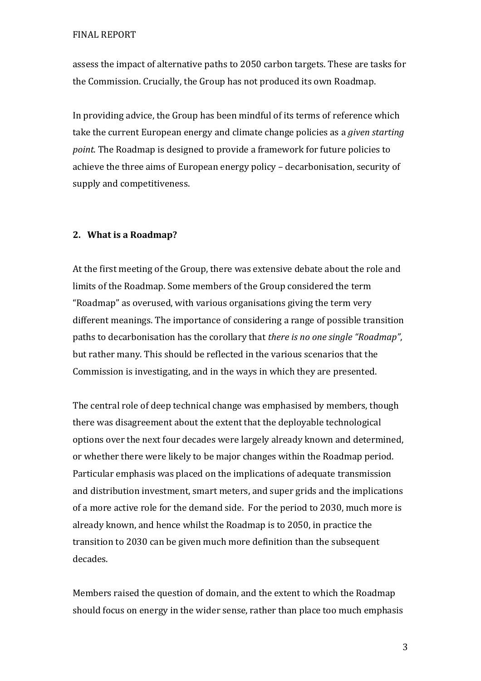assess the impact of alternative paths to 2050 carbon targets. These are tasks for the Commission. Crucially, the Group has not produced its own Roadmap.

In providing advice, the Group has been mindful of its terms of reference which take the current European energy and climate change policies as a *given starting point*. The Roadmap is designed to provide a framework for future policies to achieve the three aims of European energy policy – decarbonisation, security of supply and competitiveness.

# **2. What is a Roadmap?**

At the first meeting of the Group, there was extensive debate about the role and limits of the Roadmap. Some members of the Group considered the term "Roadmap" as overused, with various organisations giving the term very different meanings. The importance of considering a range of possible transition paths to decarbonisation has the corollary that *there is no one single "Roadmap"*, but rather many. This should be reflected in the various scenarios that the Commission is investigating, and in the ways in which they are presented.

The central role of deep technical change was emphasised by members, though there was disagreement about the extent that the deployable technological options over the next four decades were largely already known and determined, or whether there were likely to be major changes within the Roadmap period. Particular emphasis was placed on the implications of adequate transmission and distribution investment, smart meters, and super grids and the implications of a more active role for the demand side. For the period to 2030, much more is already known, and hence whilst the Roadmap is to 2050, in practice the transition to 2030 can be given much more definition than the subsequent decades.

Members raised the question of domain, and the extent to which the Roadmap should focus on energy in the wider sense, rather than place too much emphasis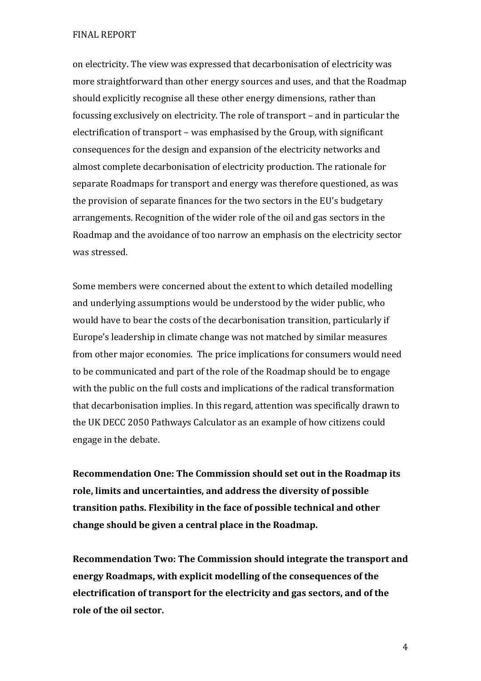on electricity. The view was expressed that decarbonisation of electricity was more straightforward than other energy sources and uses, and that the Roadmap should explicitly recognise all these other energy dimensions, rather than focussing exclusively on electricity. The role of transport – and in particular the electrification of transport – was emphasised by the Group, with significant consequences for the design and expansion of the electricity networks and almost complete decarbonisation of electricity production. The rationale for separate Roadmaps for transport and energy was therefore questioned, as was the provision of separate finances for the two sectors in the EU's budgetary arrangements. Recognition of the wider role of the oil and gas sectors in the Roadmap and the avoidance of too narrow an emphasis on the electricity sector was stressed.

Some members were concerned about the extent to which detailed modelling and underlying assumptions would be understood by the wider public, who would have to bear the costs of the decarbonisation transition, particularly if Europe's leadership in climate change was not matched by similar measures from other major economies. The price implications for consumers would need to be communicated and part of the role of the Roadmap should be to engage with the public on the full costs and implications of the radical transformation that decarbonisation implies. In this regard, attention was specifically drawn to the UK DECC 2050 Pathways Calculator as an example of how citizens could engage in the debate.

**Recommendation One: The Commission should set out in the Roadmap its role, limits and uncertainties, and address the diversity of possible transition paths. Flexibility in the face of possible technical and other change should be given a central place in the Roadmap.** 

**Recommendation Two: The Commission should integrate the transport and energy Roadmaps, with explicit modelling of the consequences of the electrification of transport for the electricity and gas sectors, and of the role of the oil sector.**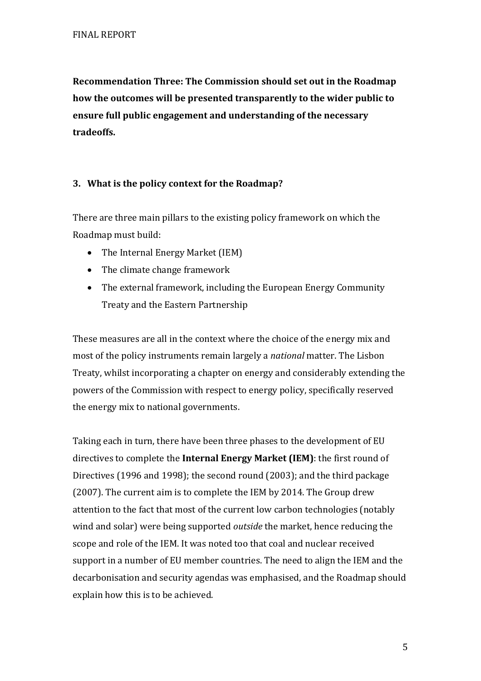**Recommendation Three: The Commission should set out in the Roadmap how the outcomes will be presented transparently to the wider public to ensure full public engagement and understanding of the necessary tradeoffs.** 

# **3. What is the policy context for the Roadmap?**

There are three main pillars to the existing policy framework on which the Roadmap must build:

- The Internal Energy Market (IEM)
- The climate change framework
- The external framework, including the European Energy Community Treaty and the Eastern Partnership

These measures are all in the context where the choice of the energy mix and most of the policy instruments remain largely a *national* matter. The Lisbon Treaty, whilst incorporating a chapter on energy and considerably extending the powers of the Commission with respect to energy policy, specifically reserved the energy mix to national governments.

Taking each in turn, there have been three phases to the development of EU directives to complete the **Internal Energy Market (IEM)**: the first round of Directives (1996 and 1998); the second round (2003); and the third package (2007). The current aim is to complete the IEM by 2014. The Group drew attention to the fact that most of the current low carbon technologies (notably wind and solar) were being supported *outside* the market, hence reducing the scope and role of the IEM. It was noted too that coal and nuclear received support in a number of EU member countries. The need to align the IEM and the decarbonisation and security agendas was emphasised, and the Roadmap should explain how this is to be achieved.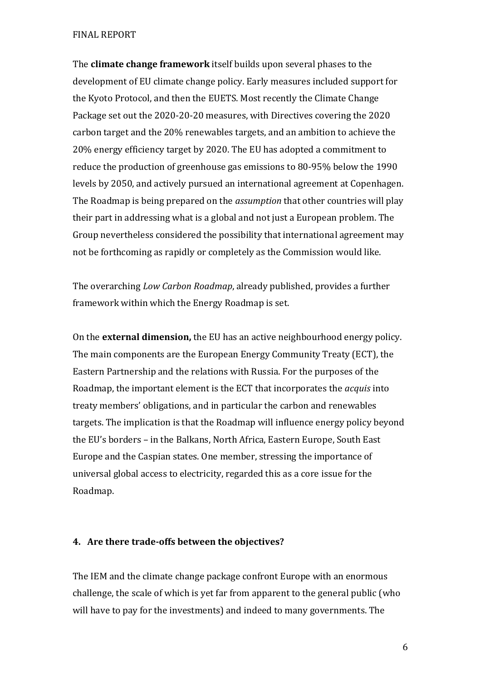The **climate change framework** itself builds upon several phases to the development of EU climate change policy. Early measures included support for the Kyoto Protocol, and then the EUETS. Most recently the Climate Change Package set out the 2020-20-20 measures, with Directives covering the 2020 carbon target and the 20% renewables targets, and an ambition to achieve the 20% energy efficiency target by 2020. The EU has adopted a commitment to reduce the production of greenhouse gas emissions to 80-95% below the 1990 levels by 2050, and actively pursued an international agreement at Copenhagen. The Roadmap is being prepared on the *assumption* that other countries will play their part in addressing what is a global and not just a European problem. The Group nevertheless considered the possibility that international agreement may not be forthcoming as rapidly or completely as the Commission would like.

The overarching *Low Carbon Roadmap*, already published, provides a further framework within which the Energy Roadmap is set.

On the **external dimension,** the EU has an active neighbourhood energy policy. The main components are the European Energy Community Treaty (ECT), the Eastern Partnership and the relations with Russia. For the purposes of the Roadmap, the important element is the ECT that incorporates the *acquis* into treaty members' obligations, and in particular the carbon and renewables targets. The implication is that the Roadmap will influence energy policy beyond the EU's borders – in the Balkans, North Africa, Eastern Europe, South East Europe and the Caspian states. One member, stressing the importance of universal global access to electricity, regarded this as a core issue for the Roadmap.

#### **4. Are there trade-offs between the objectives?**

The IEM and the climate change package confront Europe with an enormous challenge, the scale of which is yet far from apparent to the general public (who will have to pay for the investments) and indeed to many governments. The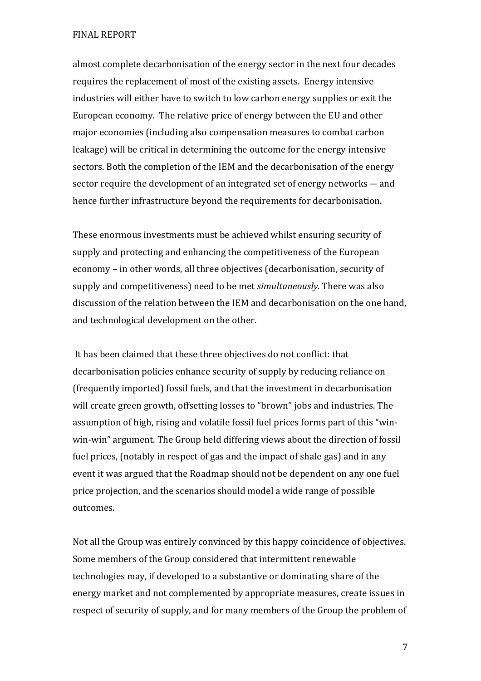almost complete decarbonisation of the energy sector in the next four decades requires the replacement of most of the existing assets. Energy intensive industries will either have to switch to low carbon energy supplies or exit the European economy. The relative price of energy between the EU and other major economies (including also compensation measures to combat carbon leakage) will be critical in determining the outcome for the energy intensive sectors. Both the completion of the IEM and the decarbonisation of the energy sector require the development of an integrated set of energy networks ― and hence further infrastructure beyond the requirements for decarbonisation.

These enormous investments must be achieved whilst ensuring security of supply and protecting and enhancing the competitiveness of the European economy – in other words, all three objectives (decarbonisation, security of supply and competitiveness) need to be met *simultaneously*. There was also discussion of the relation between the IEM and decarbonisation on the one hand, and technological development on the other.

 It has been claimed that these three objectives do not conflict: that decarbonisation policies enhance security of supply by reducing reliance on (frequently imported) fossil fuels, and that the investment in decarbonisation will create green growth, offsetting losses to "brown" jobs and industries. The assumption of high, rising and volatile fossil fuel prices forms part of this "winwin-win" argument. The Group held differing views about the direction of fossil fuel prices, (notably in respect of gas and the impact of shale gas) and in any event it was argued that the Roadmap should not be dependent on any one fuel price projection, and the scenarios should model a wide range of possible outcomes.

Not all the Group was entirely convinced by this happy coincidence of objectives. Some members of the Group considered that intermittent renewable technologies may, if developed to a substantive or dominating share of the energy market and not complemented by appropriate measures, create issues in respect of security of supply, and for many members of the Group the problem of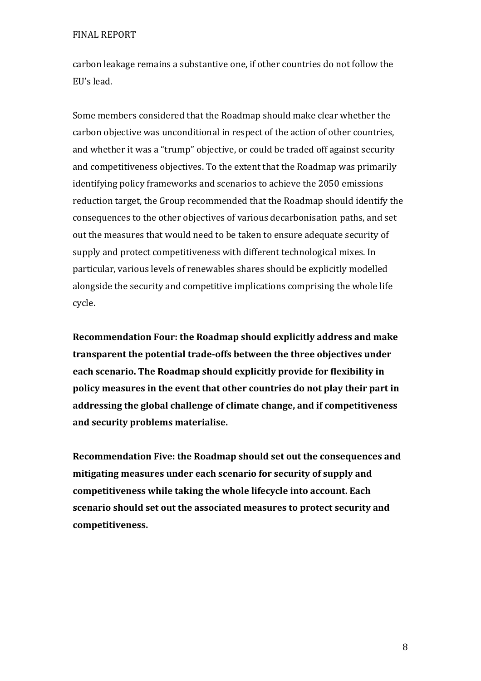carbon leakage remains a substantive one, if other countries do not follow the EU's lead.

Some members considered that the Roadmap should make clear whether the carbon objective was unconditional in respect of the action of other countries, and whether it was a "trump" objective, or could be traded off against security and competitiveness objectives. To the extent that the Roadmap was primarily identifying policy frameworks and scenarios to achieve the 2050 emissions reduction target, the Group recommended that the Roadmap should identify the consequences to the other objectives of various decarbonisation paths, and set out the measures that would need to be taken to ensure adequate security of supply and protect competitiveness with different technological mixes. In particular, various levels of renewables shares should be explicitly modelled alongside the security and competitive implications comprising the whole life cycle.

**Recommendation Four: the Roadmap should explicitly address and make transparent the potential trade-offs between the three objectives under each scenario. The Roadmap should explicitly provide for flexibility in policy measures in the event that other countries do not play their part in addressing the global challenge of climate change, and if competitiveness and security problems materialise.** 

**Recommendation Five: the Roadmap should set out the consequences and mitigating measures under each scenario for security of supply and competitiveness while taking the whole lifecycle into account. Each scenario should set out the associated measures to protect security and competitiveness.**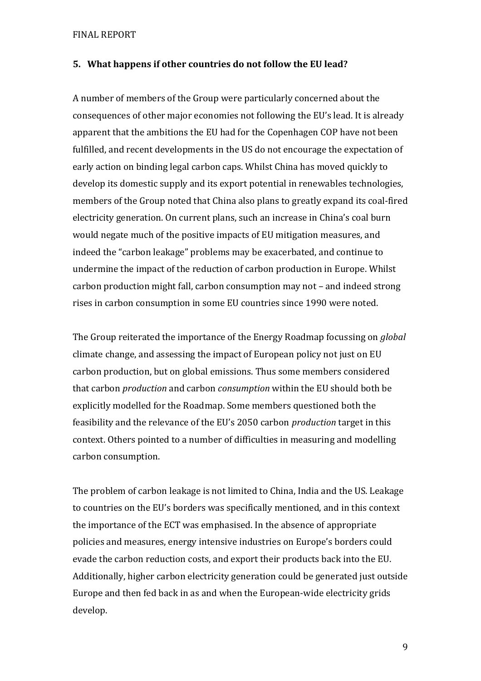#### **5. What happens if other countries do not follow the EU lead?**

A number of members of the Group were particularly concerned about the consequences of other major economies not following the EU's lead. It is already apparent that the ambitions the EU had for the Copenhagen COP have not been fulfilled, and recent developments in the US do not encourage the expectation of early action on binding legal carbon caps. Whilst China has moved quickly to develop its domestic supply and its export potential in renewables technologies, members of the Group noted that China also plans to greatly expand its coal-fired electricity generation. On current plans, such an increase in China's coal burn would negate much of the positive impacts of EU mitigation measures, and indeed the "carbon leakage" problems may be exacerbated, and continue to undermine the impact of the reduction of carbon production in Europe. Whilst carbon production might fall, carbon consumption may not – and indeed strong rises in carbon consumption in some EU countries since 1990 were noted.

The Group reiterated the importance of the Energy Roadmap focussing on *global* climate change, and assessing the impact of European policy not just on EU carbon production, but on global emissions. Thus some members considered that carbon *production* and carbon *consumption* within the EU should both be explicitly modelled for the Roadmap. Some members questioned both the feasibility and the relevance of the EU's 2050 carbon *production* target in this context. Others pointed to a number of difficulties in measuring and modelling carbon consumption.

The problem of carbon leakage is not limited to China, India and the US. Leakage to countries on the EU's borders was specifically mentioned, and in this context the importance of the ECT was emphasised. In the absence of appropriate policies and measures, energy intensive industries on Europe's borders could evade the carbon reduction costs, and export their products back into the EU. Additionally, higher carbon electricity generation could be generated just outside Europe and then fed back in as and when the European-wide electricity grids develop.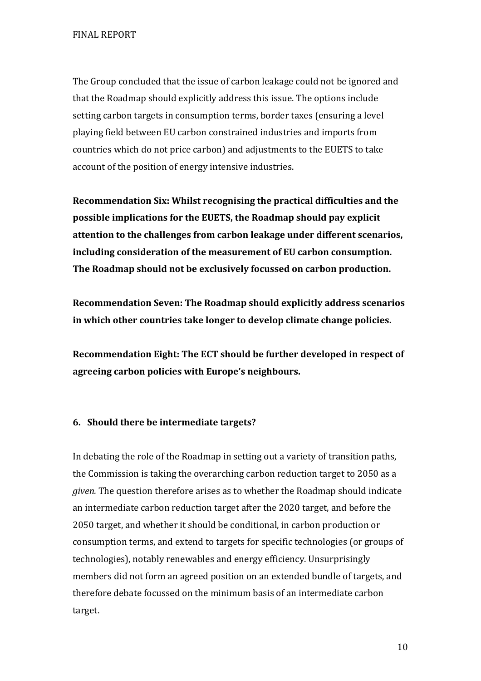The Group concluded that the issue of carbon leakage could not be ignored and that the Roadmap should explicitly address this issue. The options include setting carbon targets in consumption terms, border taxes (ensuring a level playing field between EU carbon constrained industries and imports from countries which do not price carbon) and adjustments to the EUETS to take account of the position of energy intensive industries.

**Recommendation Six: Whilst recognising the practical difficulties and the possible implications for the EUETS, the Roadmap should pay explicit attention to the challenges from carbon leakage under different scenarios, including consideration of the measurement of EU carbon consumption. The Roadmap should not be exclusively focussed on carbon production.** 

**Recommendation Seven: The Roadmap should explicitly address scenarios in which other countries take longer to develop climate change policies.** 

**Recommendation Eight: The ECT should be further developed in respect of agreeing carbon policies with Europe's neighbours.** 

#### **6. Should there be intermediate targets?**

In debating the role of the Roadmap in setting out a variety of transition paths, the Commission is taking the overarching carbon reduction target to 2050 as a *given.* The question therefore arises as to whether the Roadmap should indicate an intermediate carbon reduction target after the 2020 target, and before the 2050 target, and whether it should be conditional, in carbon production or consumption terms, and extend to targets for specific technologies (or groups of technologies), notably renewables and energy efficiency. Unsurprisingly members did not form an agreed position on an extended bundle of targets, and therefore debate focussed on the minimum basis of an intermediate carbon target.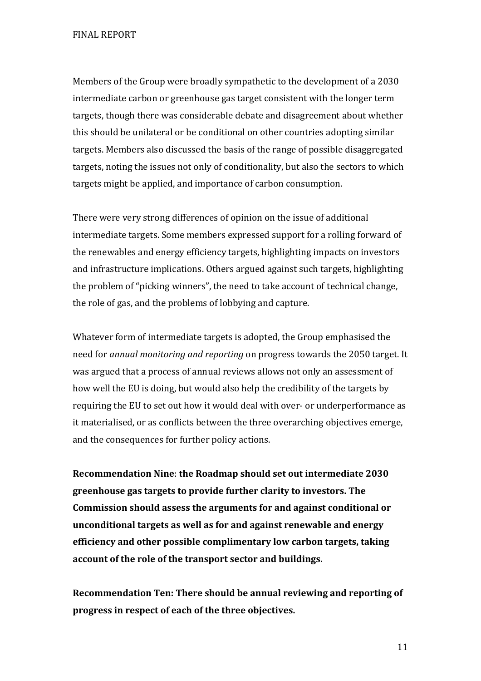Members of the Group were broadly sympathetic to the development of a 2030 intermediate carbon or greenhouse gas target consistent with the longer term targets, though there was considerable debate and disagreement about whether this should be unilateral or be conditional on other countries adopting similar targets. Members also discussed the basis of the range of possible disaggregated targets, noting the issues not only of conditionality, but also the sectors to which targets might be applied, and importance of carbon consumption.

There were very strong differences of opinion on the issue of additional intermediate targets. Some members expressed support for a rolling forward of the renewables and energy efficiency targets, highlighting impacts on investors and infrastructure implications. Others argued against such targets, highlighting the problem of "picking winners", the need to take account of technical change, the role of gas, and the problems of lobbying and capture.

Whatever form of intermediate targets is adopted, the Group emphasised the need for *annual monitoring and reporting* on progress towards the 2050 target. It was argued that a process of annual reviews allows not only an assessment of how well the EU is doing, but would also help the credibility of the targets by requiring the EU to set out how it would deal with over- or underperformance as it materialised, or as conflicts between the three overarching objectives emerge, and the consequences for further policy actions.

**Recommendation Nine**: **the Roadmap should set out intermediate 2030 greenhouse gas targets to provide further clarity to investors. The Commission should assess the arguments for and against conditional or unconditional targets as well as for and against renewable and energy efficiency and other possible complimentary low carbon targets, taking account of the role of the transport sector and buildings.** 

**Recommendation Ten: There should be annual reviewing and reporting of progress in respect of each of the three objectives.**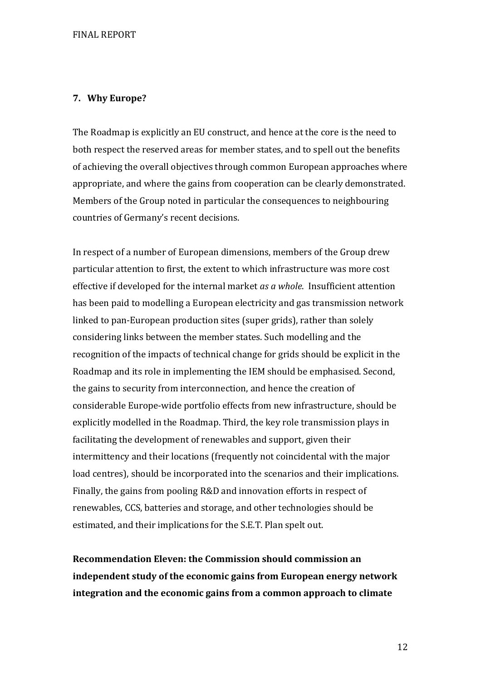## **7. Why Europe?**

The Roadmap is explicitly an EU construct, and hence at the core is the need to both respect the reserved areas for member states, and to spell out the benefits of achieving the overall objectives through common European approaches where appropriate, and where the gains from cooperation can be clearly demonstrated. Members of the Group noted in particular the consequences to neighbouring countries of Germany's recent decisions.

In respect of a number of European dimensions, members of the Group drew particular attention to first, the extent to which infrastructure was more cost effective if developed for the internal market *as a whole*. Insufficient attention has been paid to modelling a European electricity and gas transmission network linked to pan-European production sites (super grids), rather than solely considering links between the member states. Such modelling and the recognition of the impacts of technical change for grids should be explicit in the Roadmap and its role in implementing the IEM should be emphasised. Second, the gains to security from interconnection, and hence the creation of considerable Europe-wide portfolio effects from new infrastructure, should be explicitly modelled in the Roadmap. Third, the key role transmission plays in facilitating the development of renewables and support, given their intermittency and their locations (frequently not coincidental with the major load centres), should be incorporated into the scenarios and their implications. Finally, the gains from pooling R&D and innovation efforts in respect of renewables, CCS, batteries and storage, and other technologies should be estimated, and their implications for the S.E.T. Plan spelt out.

**Recommendation Eleven: the Commission should commission an independent study of the economic gains from European energy network integration and the economic gains from a common approach to climate**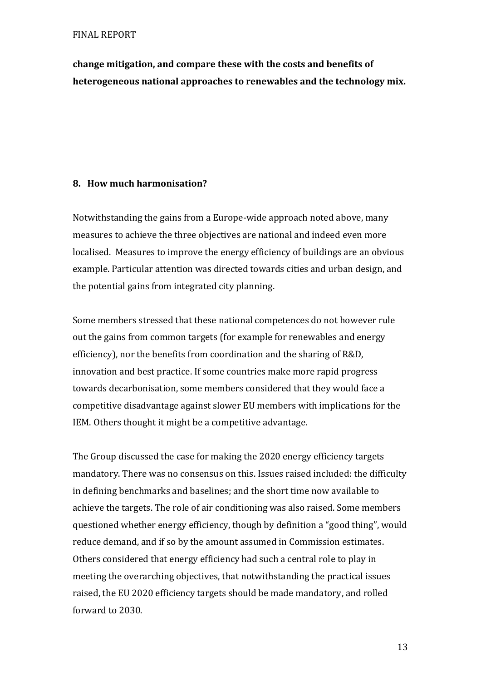**change mitigation, and compare these with the costs and benefits of heterogeneous national approaches to renewables and the technology mix.** 

## **8. How much harmonisation?**

Notwithstanding the gains from a Europe-wide approach noted above, many measures to achieve the three objectives are national and indeed even more localised. Measures to improve the energy efficiency of buildings are an obvious example. Particular attention was directed towards cities and urban design, and the potential gains from integrated city planning.

Some members stressed that these national competences do not however rule out the gains from common targets (for example for renewables and energy efficiency), nor the benefits from coordination and the sharing of R&D, innovation and best practice. If some countries make more rapid progress towards decarbonisation, some members considered that they would face a competitive disadvantage against slower EU members with implications for the IEM. Others thought it might be a competitive advantage.

The Group discussed the case for making the 2020 energy efficiency targets mandatory. There was no consensus on this. Issues raised included: the difficulty in defining benchmarks and baselines; and the short time now available to achieve the targets. The role of air conditioning was also raised. Some members questioned whether energy efficiency, though by definition a "good thing", would reduce demand, and if so by the amount assumed in Commission estimates. Others considered that energy efficiency had such a central role to play in meeting the overarching objectives, that notwithstanding the practical issues raised, the EU 2020 efficiency targets should be made mandatory, and rolled forward to 2030.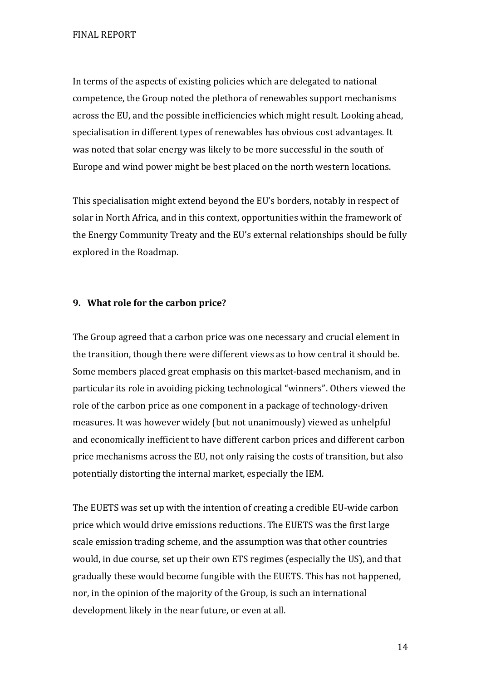In terms of the aspects of existing policies which are delegated to national competence, the Group noted the plethora of renewables support mechanisms across the EU, and the possible inefficiencies which might result. Looking ahead, specialisation in different types of renewables has obvious cost advantages. It was noted that solar energy was likely to be more successful in the south of Europe and wind power might be best placed on the north western locations.

This specialisation might extend beyond the EU's borders, notably in respect of solar in North Africa, and in this context, opportunities within the framework of the Energy Community Treaty and the EU's external relationships should be fully explored in the Roadmap.

#### **9. What role for the carbon price?**

The Group agreed that a carbon price was one necessary and crucial element in the transition, though there were different views as to how central it should be. Some members placed great emphasis on this market-based mechanism, and in particular its role in avoiding picking technological "winners". Others viewed the role of the carbon price as one component in a package of technology-driven measures. It was however widely (but not unanimously) viewed as unhelpful and economically inefficient to have different carbon prices and different carbon price mechanisms across the EU, not only raising the costs of transition, but also potentially distorting the internal market, especially the IEM.

The EUETS was set up with the intention of creating a credible EU-wide carbon price which would drive emissions reductions. The EUETS was the first large scale emission trading scheme, and the assumption was that other countries would, in due course, set up their own ETS regimes (especially the US), and that gradually these would become fungible with the EUETS. This has not happened, nor, in the opinion of the majority of the Group, is such an international development likely in the near future, or even at all.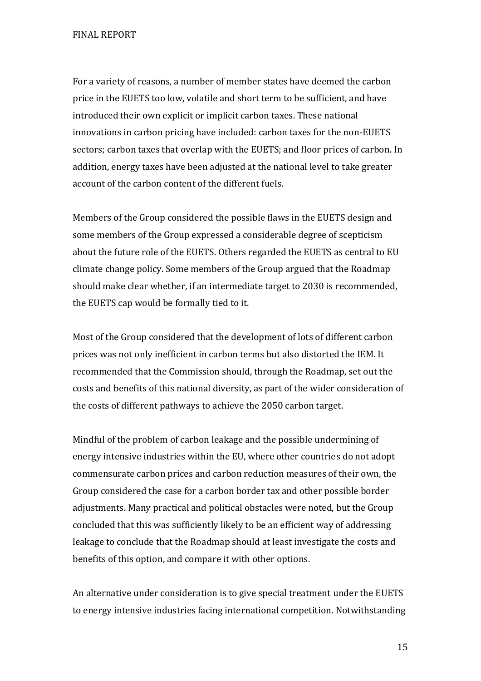For a variety of reasons, a number of member states have deemed the carbon price in the EUETS too low, volatile and short term to be sufficient, and have introduced their own explicit or implicit carbon taxes. These national innovations in carbon pricing have included: carbon taxes for the non-EUETS sectors; carbon taxes that overlap with the EUETS; and floor prices of carbon. In addition, energy taxes have been adjusted at the national level to take greater account of the carbon content of the different fuels.

Members of the Group considered the possible flaws in the EUETS design and some members of the Group expressed a considerable degree of scepticism about the future role of the EUETS. Others regarded the EUETS as central to EU climate change policy. Some members of the Group argued that the Roadmap should make clear whether, if an intermediate target to 2030 is recommended, the EUETS cap would be formally tied to it.

Most of the Group considered that the development of lots of different carbon prices was not only inefficient in carbon terms but also distorted the IEM. It recommended that the Commission should, through the Roadmap, set out the costs and benefits of this national diversity, as part of the wider consideration of the costs of different pathways to achieve the 2050 carbon target.

Mindful of the problem of carbon leakage and the possible undermining of energy intensive industries within the EU, where other countries do not adopt commensurate carbon prices and carbon reduction measures of their own, the Group considered the case for a carbon border tax and other possible border adjustments. Many practical and political obstacles were noted, but the Group concluded that this was sufficiently likely to be an efficient way of addressing leakage to conclude that the Roadmap should at least investigate the costs and benefits of this option, and compare it with other options.

An alternative under consideration is to give special treatment under the EUETS to energy intensive industries facing international competition. Notwithstanding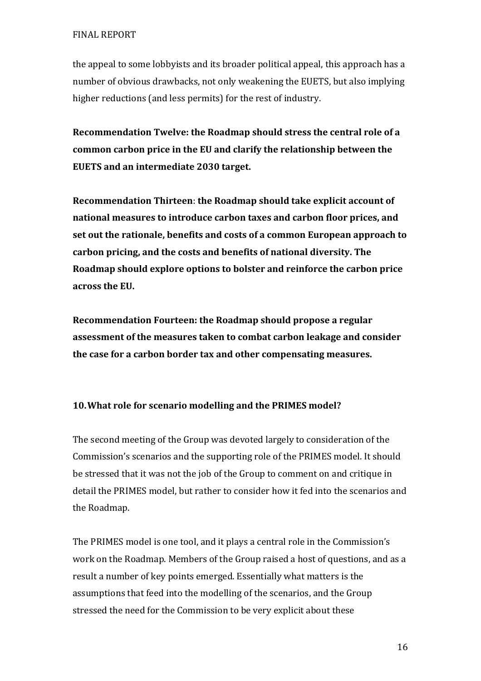the appeal to some lobbyists and its broader political appeal, this approach has a number of obvious drawbacks, not only weakening the EUETS, but also implying higher reductions (and less permits) for the rest of industry.

**Recommendation Twelve: the Roadmap should stress the central role of a common carbon price in the EU and clarify the relationship between the EUETS and an intermediate 2030 target.** 

**Recommendation Thirteen**: **the Roadmap should take explicit account of national measures to introduce carbon taxes and carbon floor prices, and set out the rationale, benefits and costs of a common European approach to carbon pricing, and the costs and benefits of national diversity. The Roadmap should explore options to bolster and reinforce the carbon price across the EU.** 

**Recommendation Fourteen: the Roadmap should propose a regular assessment of the measures taken to combat carbon leakage and consider the case for a carbon border tax and other compensating measures.** 

# **10.What role for scenario modelling and the PRIMES model?**

The second meeting of the Group was devoted largely to consideration of the Commission's scenarios and the supporting role of the PRIMES model. It should be stressed that it was not the job of the Group to comment on and critique in detail the PRIMES model, but rather to consider how it fed into the scenarios and the Roadmap.

The PRIMES model is one tool, and it plays a central role in the Commission's work on the Roadmap. Members of the Group raised a host of questions, and as a result a number of key points emerged. Essentially what matters is the assumptions that feed into the modelling of the scenarios, and the Group stressed the need for the Commission to be very explicit about these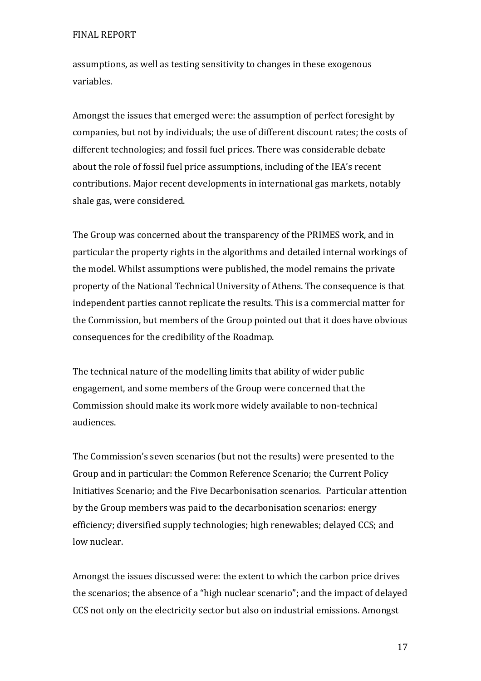assumptions, as well as testing sensitivity to changes in these exogenous variables.

Amongst the issues that emerged were: the assumption of perfect foresight by companies, but not by individuals; the use of different discount rates; the costs of different technologies; and fossil fuel prices. There was considerable debate about the role of fossil fuel price assumptions, including of the IEA's recent contributions. Major recent developments in international gas markets, notably shale gas, were considered.

The Group was concerned about the transparency of the PRIMES work, and in particular the property rights in the algorithms and detailed internal workings of the model. Whilst assumptions were published, the model remains the private property of the National Technical University of Athens. The consequence is that independent parties cannot replicate the results. This is a commercial matter for the Commission, but members of the Group pointed out that it does have obvious consequences for the credibility of the Roadmap.

The technical nature of the modelling limits that ability of wider public engagement, and some members of the Group were concerned that the Commission should make its work more widely available to non-technical audiences.

The Commission's seven scenarios (but not the results) were presented to the Group and in particular: the Common Reference Scenario; the Current Policy Initiatives Scenario; and the Five Decarbonisation scenarios. Particular attention by the Group members was paid to the decarbonisation scenarios: energy efficiency; diversified supply technologies; high renewables; delayed CCS; and low nuclear.

Amongst the issues discussed were: the extent to which the carbon price drives the scenarios; the absence of a "high nuclear scenario"; and the impact of delayed CCS not only on the electricity sector but also on industrial emissions. Amongst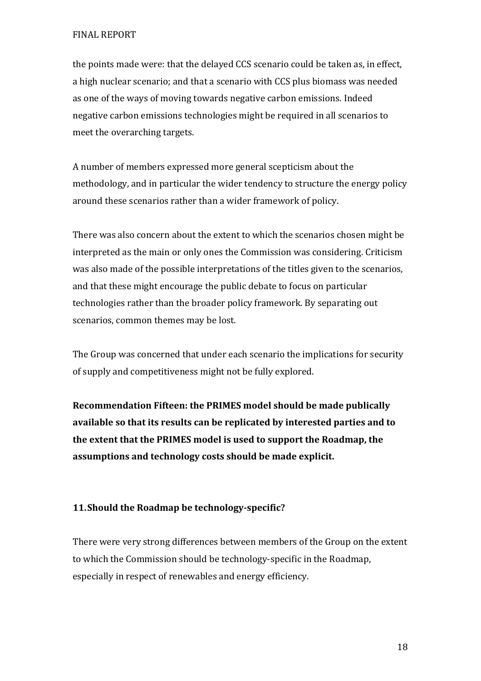the points made were: that the delayed CCS scenario could be taken as, in effect, a high nuclear scenario; and that a scenario with CCS plus biomass was needed as one of the ways of moving towards negative carbon emissions. Indeed negative carbon emissions technologies might be required in all scenarios to meet the overarching targets.

A number of members expressed more general scepticism about the methodology, and in particular the wider tendency to structure the energy policy around these scenarios rather than a wider framework of policy.

There was also concern about the extent to which the scenarios chosen might be interpreted as the main or only ones the Commission was considering. Criticism was also made of the possible interpretations of the titles given to the scenarios, and that these might encourage the public debate to focus on particular technologies rather than the broader policy framework. By separating out scenarios, common themes may be lost.

The Group was concerned that under each scenario the implications for security of supply and competitiveness might not be fully explored.

**Recommendation Fifteen: the PRIMES model should be made publically available so that its results can be replicated by interested parties and to the extent that the PRIMES model is used to support the Roadmap, the assumptions and technology costs should be made explicit.**

# **11.Should the Roadmap be technology-specific?**

There were very strong differences between members of the Group on the extent to which the Commission should be technology-specific in the Roadmap, especially in respect of renewables and energy efficiency.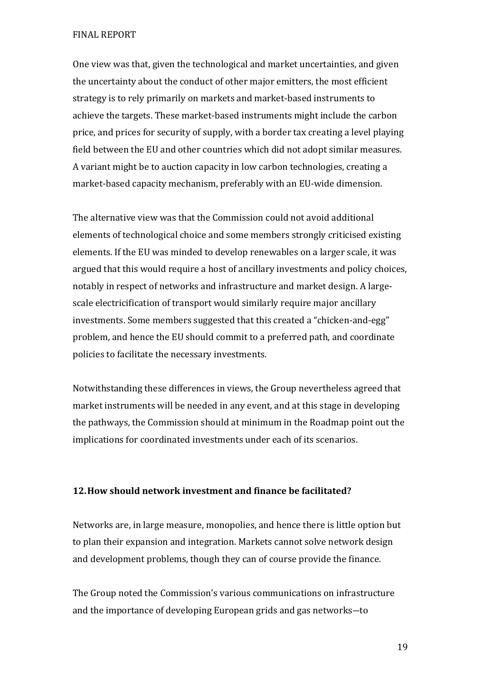One view was that, given the technological and market uncertainties, and given the uncertainty about the conduct of other major emitters, the most efficient strategy is to rely primarily on markets and market-based instruments to achieve the targets. These market-based instruments might include the carbon price, and prices for security of supply, with a border tax creating a level playing field between the EU and other countries which did not adopt similar measures. A variant might be to auction capacity in low carbon technologies, creating a market-based capacity mechanism, preferably with an EU-wide dimension.

The alternative view was that the Commission could not avoid additional elements of technological choice and some members strongly criticised existing elements. If the EU was minded to develop renewables on a larger scale, it was argued that this would require a host of ancillary investments and policy choices, notably in respect of networks and infrastructure and market design. A largescale electricification of transport would similarly require major ancillary investments. Some members suggested that this created a "chicken-and-egg" problem, and hence the EU should commit to a preferred path, and coordinate policies to facilitate the necessary investments.

Notwithstanding these differences in views, the Group nevertheless agreed that market instruments will be needed in any event, and at this stage in developing the pathways, the Commission should at minimum in the Roadmap point out the implications for coordinated investments under each of its scenarios.

#### **12.How should network investment and finance be facilitated?**

Networks are, in large measure, monopolies, and hence there is little option but to plan their expansion and integration. Markets cannot solve network design and development problems, though they can of course provide the finance.

The Group noted the Commission's various communications on infrastructure and the importance of developing European grids and gas networks―to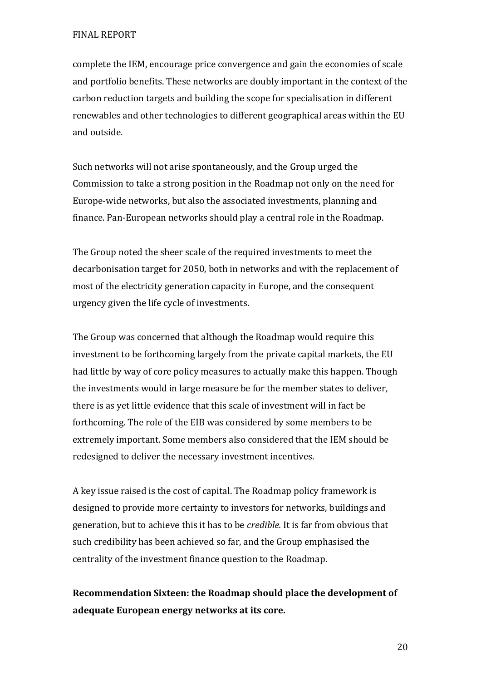complete the IEM, encourage price convergence and gain the economies of scale and portfolio benefits. These networks are doubly important in the context of the carbon reduction targets and building the scope for specialisation in different renewables and other technologies to different geographical areas within the EU and outside.

Such networks will not arise spontaneously, and the Group urged the Commission to take a strong position in the Roadmap not only on the need for Europe-wide networks, but also the associated investments, planning and finance. Pan-European networks should play a central role in the Roadmap.

The Group noted the sheer scale of the required investments to meet the decarbonisation target for 2050, both in networks and with the replacement of most of the electricity generation capacity in Europe, and the consequent urgency given the life cycle of investments.

The Group was concerned that although the Roadmap would require this investment to be forthcoming largely from the private capital markets, the EU had little by way of core policy measures to actually make this happen. Though the investments would in large measure be for the member states to deliver, there is as yet little evidence that this scale of investment will in fact be forthcoming. The role of the EIB was considered by some members to be extremely important. Some members also considered that the IEM should be redesigned to deliver the necessary investment incentives.

A key issue raised is the cost of capital. The Roadmap policy framework is designed to provide more certainty to investors for networks, buildings and generation, but to achieve this it has to be *credible.* It is far from obvious that such credibility has been achieved so far, and the Group emphasised the centrality of the investment finance question to the Roadmap.

**Recommendation Sixteen: the Roadmap should place the development of adequate European energy networks at its core.**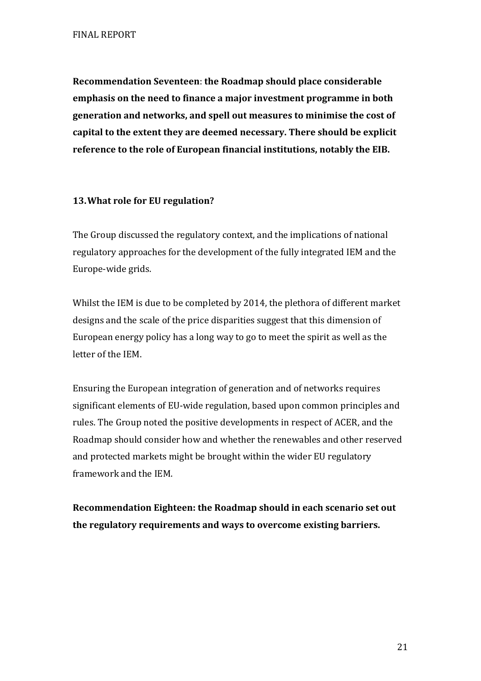**Recommendation Seventeen**: **the Roadmap should place considerable emphasis on the need to finance a major investment programme in both generation and networks, and spell out measures to minimise the cost of capital to the extent they are deemed necessary. There should be explicit reference to the role of European financial institutions, notably the EIB.** 

## **13.What role for EU regulation?**

The Group discussed the regulatory context, and the implications of national regulatory approaches for the development of the fully integrated IEM and the Europe-wide grids.

Whilst the IEM is due to be completed by 2014, the plethora of different market designs and the scale of the price disparities suggest that this dimension of European energy policy has a long way to go to meet the spirit as well as the letter of the IEM.

Ensuring the European integration of generation and of networks requires significant elements of EU-wide regulation, based upon common principles and rules. The Group noted the positive developments in respect of ACER, and the Roadmap should consider how and whether the renewables and other reserved and protected markets might be brought within the wider EU regulatory framework and the IEM.

**Recommendation Eighteen: the Roadmap should in each scenario set out the regulatory requirements and ways to overcome existing barriers.**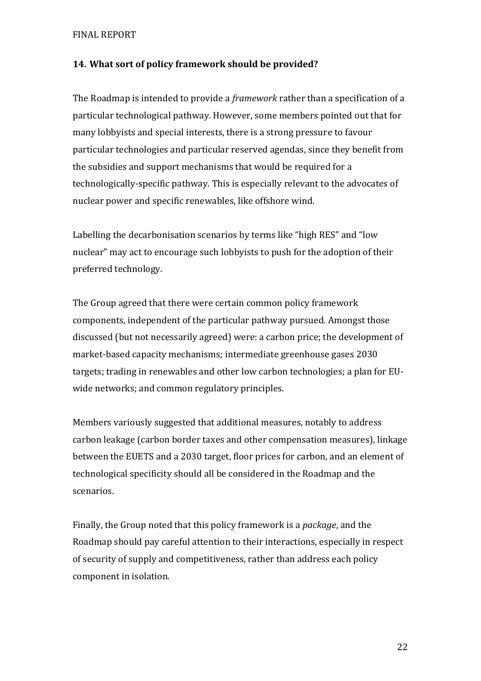## **14. What sort of policy framework should be provided?**

The Roadmap is intended to provide a *framework* rather than a specification of a particular technological pathway. However, some members pointed out that for many lobbyists and special interests, there is a strong pressure to favour particular technologies and particular reserved agendas, since they benefit from the subsidies and support mechanisms that would be required for a technologically-specific pathway. This is especially relevant to the advocates of nuclear power and specific renewables, like offshore wind.

Labelling the decarbonisation scenarios by terms like "high RES" and "low nuclear" may act to encourage such lobbyists to push for the adoption of their preferred technology.

The Group agreed that there were certain common policy framework components, independent of the particular pathway pursued. Amongst those discussed (but not necessarily agreed) were: a carbon price; the development of market-based capacity mechanisms; intermediate greenhouse gases 2030 targets; trading in renewables and other low carbon technologies; a plan for EUwide networks; and common regulatory principles.

Members variously suggested that additional measures, notably to address carbon leakage (carbon border taxes and other compensation measures), linkage between the EUETS and a 2030 target, floor prices for carbon, and an element of technological specificity should all be considered in the Roadmap and the scenarios.

Finally, the Group noted that this policy framework is a *package*, and the Roadmap should pay careful attention to their interactions, especially in respect of security of supply and competitiveness, rather than address each policy component in isolation.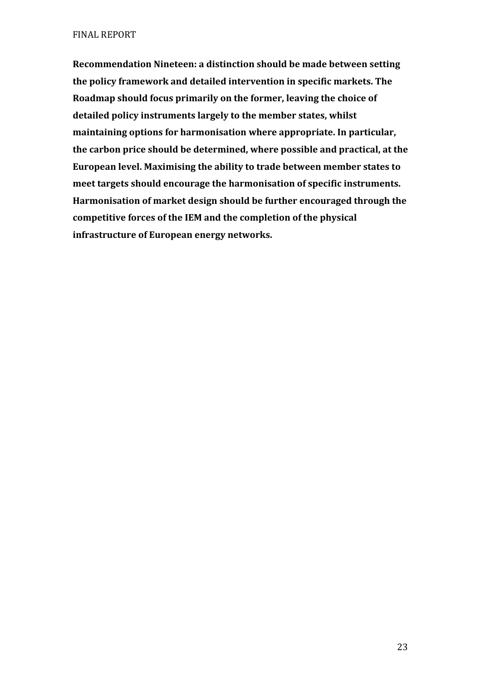**Recommendation Nineteen: a distinction should be made between setting the policy framework and detailed intervention in specific markets. The Roadmap should focus primarily on the former, leaving the choice of detailed policy instruments largely to the member states, whilst maintaining options for harmonisation where appropriate. In particular, the carbon price should be determined, where possible and practical, at the European level. Maximising the ability to trade between member states to meet targets should encourage the harmonisation of specific instruments. Harmonisation of market design should be further encouraged through the competitive forces of the IEM and the completion of the physical infrastructure of European energy networks.**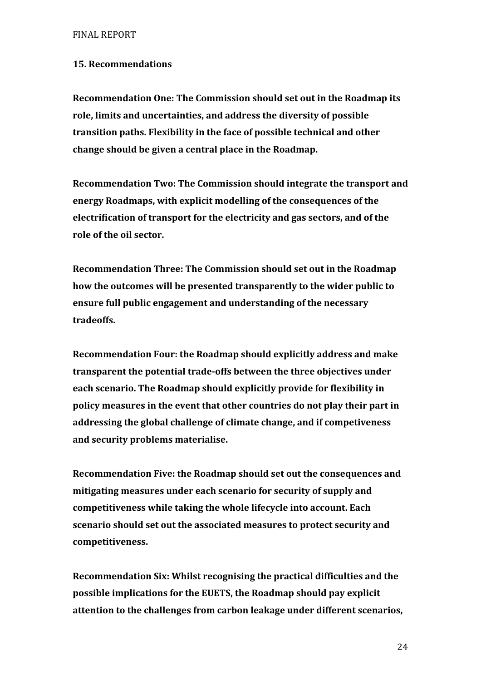## **15. Recommendations**

**Recommendation One: The Commission should set out in the Roadmap its role, limits and uncertainties, and address the diversity of possible transition paths. Flexibility in the face of possible technical and other change should be given a central place in the Roadmap.** 

**Recommendation Two: The Commission should integrate the transport and energy Roadmaps, with explicit modelling of the consequences of the electrification of transport for the electricity and gas sectors, and of the role of the oil sector.** 

**Recommendation Three: The Commission should set out in the Roadmap how the outcomes will be presented transparently to the wider public to ensure full public engagement and understanding of the necessary tradeoffs.** 

**Recommendation Four: the Roadmap should explicitly address and make transparent the potential trade-offs between the three objectives under each scenario. The Roadmap should explicitly provide for flexibility in policy measures in the event that other countries do not play their part in addressing the global challenge of climate change, and if competiveness and security problems materialise.** 

**Recommendation Five: the Roadmap should set out the consequences and mitigating measures under each scenario for security of supply and competitiveness while taking the whole lifecycle into account. Each scenario should set out the associated measures to protect security and competitiveness.** 

**Recommendation Six: Whilst recognising the practical difficulties and the possible implications for the EUETS, the Roadmap should pay explicit attention to the challenges from carbon leakage under different scenarios,**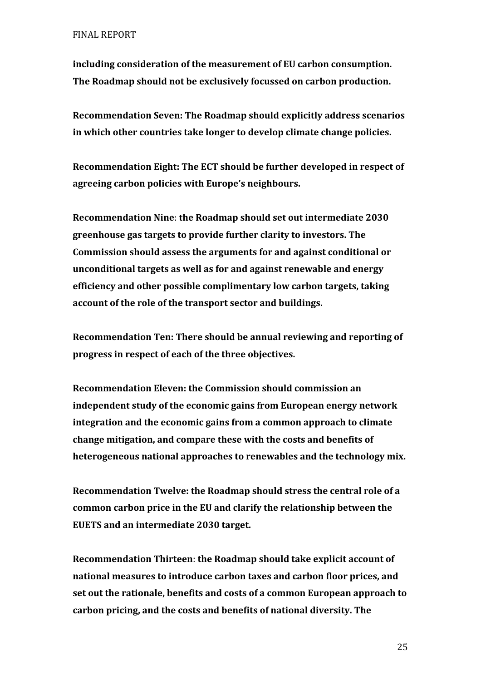**including consideration of the measurement of EU carbon consumption. The Roadmap should not be exclusively focussed on carbon production.** 

**Recommendation Seven: The Roadmap should explicitly address scenarios in which other countries take longer to develop climate change policies.** 

**Recommendation Eight: The ECT should be further developed in respect of agreeing carbon policies with Europe's neighbours.** 

**Recommendation Nine**: **the Roadmap should set out intermediate 2030 greenhouse gas targets to provide further clarity to investors. The Commission should assess the arguments for and against conditional or unconditional targets as well as for and against renewable and energy efficiency and other possible complimentary low carbon targets, taking account of the role of the transport sector and buildings.** 

**Recommendation Ten: There should be annual reviewing and reporting of progress in respect of each of the three objectives.** 

**Recommendation Eleven: the Commission should commission an independent study of the economic gains from European energy network integration and the economic gains from a common approach to climate change mitigation, and compare these with the costs and benefits of heterogeneous national approaches to renewables and the technology mix.** 

**Recommendation Twelve: the Roadmap should stress the central role of a common carbon price in the EU and clarify the relationship between the EUETS and an intermediate 2030 target.** 

**Recommendation Thirteen**: **the Roadmap should take explicit account of national measures to introduce carbon taxes and carbon floor prices, and set out the rationale, benefits and costs of a common European approach to carbon pricing, and the costs and benefits of national diversity. The**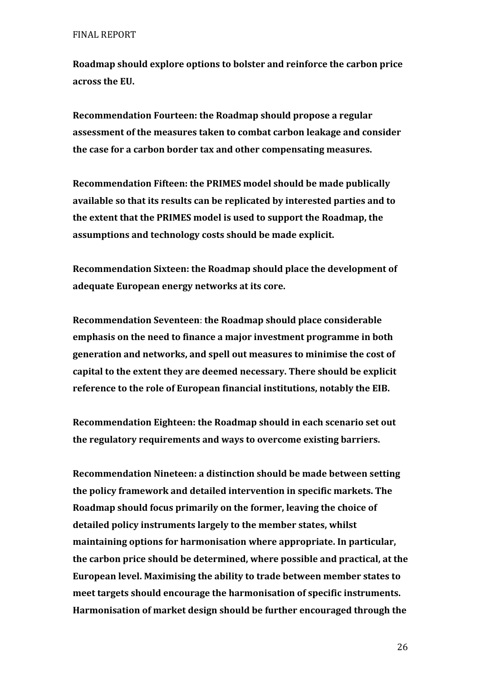**Roadmap should explore options to bolster and reinforce the carbon price across the EU.** 

**Recommendation Fourteen: the Roadmap should propose a regular assessment of the measures taken to combat carbon leakage and consider the case for a carbon border tax and other compensating measures.** 

**Recommendation Fifteen: the PRIMES model should be made publically available so that its results can be replicated by interested parties and to the extent that the PRIMES model is used to support the Roadmap, the assumptions and technology costs should be made explicit.** 

**Recommendation Sixteen: the Roadmap should place the development of adequate European energy networks at its core.** 

**Recommendation Seventeen**: **the Roadmap should place considerable emphasis on the need to finance a major investment programme in both generation and networks, and spell out measures to minimise the cost of capital to the extent they are deemed necessary. There should be explicit reference to the role of European financial institutions, notably the EIB.** 

**Recommendation Eighteen: the Roadmap should in each scenario set out the regulatory requirements and ways to overcome existing barriers.** 

**Recommendation Nineteen: a distinction should be made between setting the policy framework and detailed intervention in specific markets. The Roadmap should focus primarily on the former, leaving the choice of detailed policy instruments largely to the member states, whilst maintaining options for harmonisation where appropriate. In particular, the carbon price should be determined, where possible and practical, at the European level. Maximising the ability to trade between member states to meet targets should encourage the harmonisation of specific instruments. Harmonisation of market design should be further encouraged through the**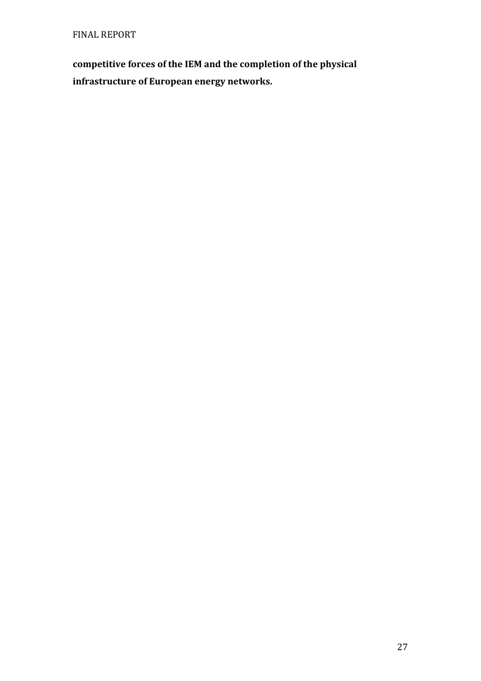**competitive forces of the IEM and the completion of the physical infrastructure of European energy networks.**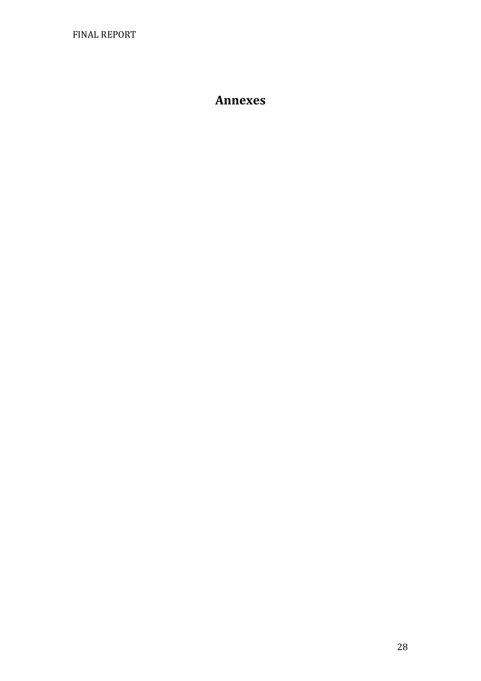# **Annexes**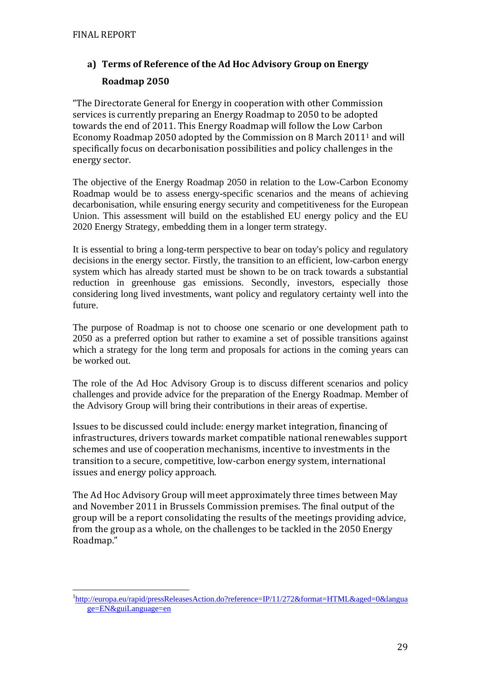$\overline{a}$ 

# **a) Terms of Reference of the Ad Hoc Advisory Group on Energy Roadmap 2050**

"The Directorate General for Energy in cooperation with other Commission services is currently preparing an Energy Roadmap to 2050 to be adopted towards the end of 2011. This Energy Roadmap will follow the Low Carbon Economy Roadmap 2050 adopted by the Commission on 8 March 20111 and will specifically focus on decarbonisation possibilities and policy challenges in the energy sector.

The objective of the Energy Roadmap 2050 in relation to the Low-Carbon Economy Roadmap would be to assess energy-specific scenarios and the means of achieving decarbonisation, while ensuring energy security and competitiveness for the European Union. This assessment will build on the established EU energy policy and the EU 2020 Energy Strategy, embedding them in a longer term strategy.

It is essential to bring a long-term perspective to bear on today's policy and regulatory decisions in the energy sector. Firstly, the transition to an efficient, low-carbon energy system which has already started must be shown to be on track towards a substantial reduction in greenhouse gas emissions. Secondly, investors, especially those considering long lived investments, want policy and regulatory certainty well into the future.

The purpose of Roadmap is not to choose one scenario or one development path to 2050 as a preferred option but rather to examine a set of possible transitions against which a strategy for the long term and proposals for actions in the coming years can be worked out.

The role of the Ad Hoc Advisory Group is to discuss different scenarios and policy challenges and provide advice for the preparation of the Energy Roadmap. Member of the Advisory Group will bring their contributions in their areas of expertise.

Issues to be discussed could include: energy market integration, financing of infrastructures, drivers towards market compatible national renewables support schemes and use of cooperation mechanisms, incentive to investments in the transition to a secure, competitive, low-carbon energy system, international issues and energy policy approach.

The Ad Hoc Advisory Group will meet approximately three times between May and November 2011 in Brussels Commission premises. The final output of the group will be a report consolidating the results of the meetings providing advice, from the group as a whole, on the challenges to be tackled in the 2050 Energy Roadmap."

<sup>&</sup>lt;sup>1</sup>[http://europa.eu/rapid/pressReleasesAction.do?reference=IP/11/272&format=HTML&aged=0&langua](http://europa.eu/rapid/pressReleasesAction.do?reference=IP/11/272&format=HTML&aged=0&language=EN&guiLanguage=en) [ge=EN&guiLanguage=en](http://europa.eu/rapid/pressReleasesAction.do?reference=IP/11/272&format=HTML&aged=0&language=EN&guiLanguage=en)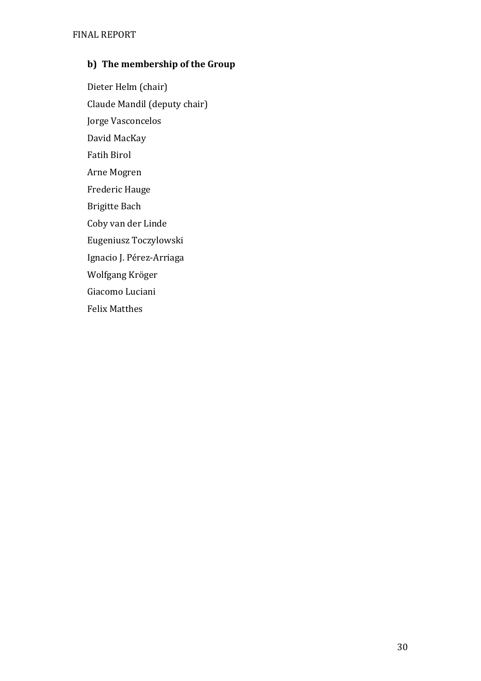# **b) The membership of the Group**

Dieter Helm (chair) Claude Mandil (deputy chair) Jorge Vasconcelos David MacKay Fatih Birol Arne Mogren Frederic Hauge Brigitte Bach Coby van der Linde Eugeniusz Toczylowski Ignacio J. Pérez-Arriaga Wolfgang Kröger Giacomo Luciani Felix Matthes